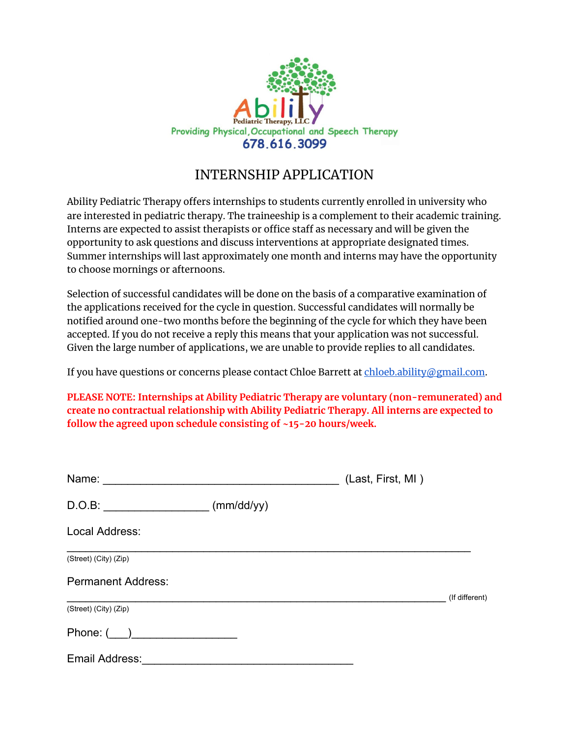

## INTERNSHIP APPLICATION

Ability Pediatric Therapy offers internships to students currently enrolled in university who are interested in pediatric therapy. The traineeship is a complement to their academic training. Interns are expected to assist therapists or office staff as necessary and will be given the opportunity to ask questions and discuss interventions at appropriate designated times. Summer internships will last approximately one month and interns may have the opportunity to choose mornings or afternoons.

Selection of successful candidates will be done on the basis of a comparative examination of the applications received for the cycle in question. Successful candidates will normally be notified around one-two months before the beginning of the cycle for which they have been accepted. If you do not receive a reply this means that your application was not successful. Given the large number of applications, we are unable to provide replies to all candidates.

If you have questions or concerns please contact Chloe Barrett at [chloeb.ability@gmail.com](mailto:chloeb.ability@gmail.com).

**PLEASE NOTE: Internships at Ability Pediatric Therapy are voluntary (non-remunerated) and create no contractual relationship with Ability Pediatric Therapy. All interns are expected to follow the agreed upon schedule consisting of ~15-20 hours/week.**

| Name:                     |            | (Last, First, MI) |                |
|---------------------------|------------|-------------------|----------------|
| D.O.B:                    | (mm/dd/yy) |                   |                |
| Local Address:            |            |                   |                |
| (Street) (City) (Zip)     |            |                   |                |
| <b>Permanent Address:</b> |            |                   |                |
| (Street) (City) (Zip)     |            |                   | (If different) |
|                           |            |                   |                |
| Email Address:            |            |                   |                |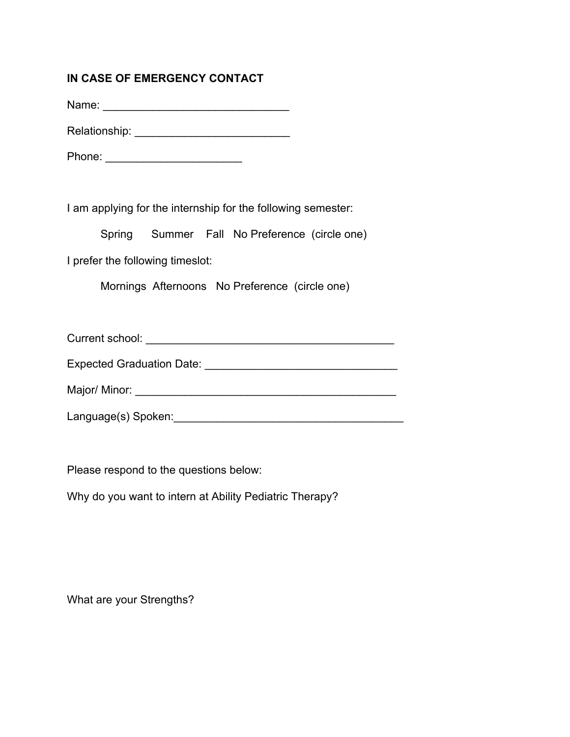## **IN CASE OF EMERGENCY CONTACT**

Name: \_\_\_\_\_\_\_\_\_\_\_\_\_\_\_\_\_\_\_\_\_\_\_\_\_\_\_\_\_\_

Relationship: \_\_\_\_\_\_\_\_\_\_\_\_\_\_\_\_\_\_\_\_\_\_\_\_\_

Phone: \_\_\_\_\_\_\_\_\_\_\_\_\_\_\_\_\_\_\_\_\_\_

I am applying for the internship for the following semester:

Spring Summer Fall No Preference (circle one)

I prefer the following timeslot:

Mornings Afternoons No Preference (circle one)

Current school: \_\_\_\_\_\_\_\_\_\_\_\_\_\_\_\_\_\_\_\_\_\_\_\_\_\_\_\_\_\_\_\_\_\_\_\_\_\_\_\_

Expected Graduation Date: \_\_\_\_\_\_\_\_\_\_\_\_\_\_\_\_\_\_\_\_\_\_\_\_\_\_\_\_\_\_\_

Major/ Minor: \_\_\_\_\_\_\_\_\_\_\_\_\_\_\_\_\_\_\_\_\_\_\_\_\_\_\_\_\_\_\_\_\_\_\_\_\_\_\_\_\_\_

Language(s) Spoken:

Please respond to the questions below:

Why do you want to intern at Ability Pediatric Therapy?

What are your Strengths?